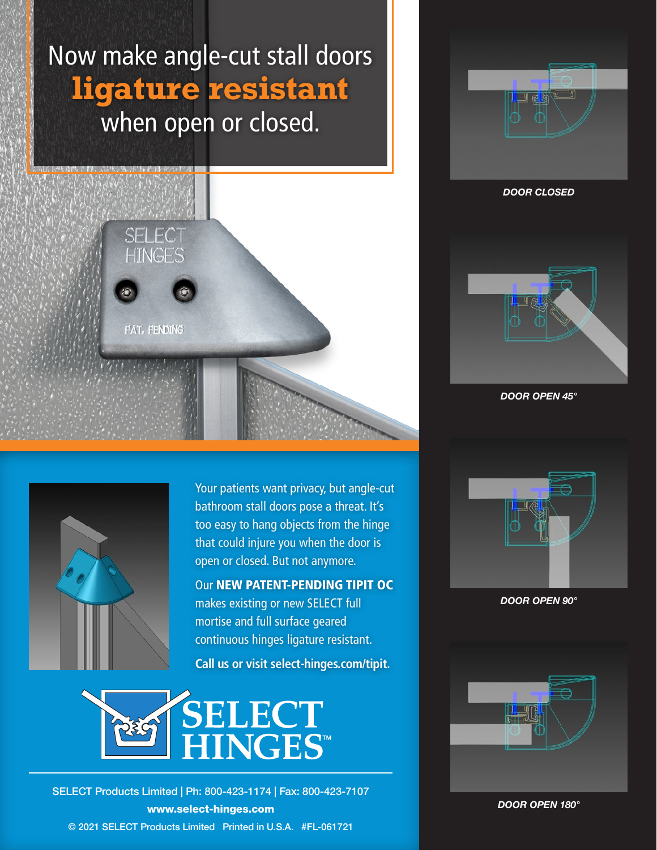# Now make angle-cut stall doors **ligature resistant** when open or closed.





DOOR CLOSED



DOOR OPEN 45°



Your patients want privacy, but angle-cut bathroom stall doors pose a threat. It's too easy to hang objects from the hinge that could injure you when the door is open or closed. But not anymore.

Our NEW PATENT-PENDING TIPIT OC makes existing or new SELECT full mortise and full surface geared continuous hinges ligature resistant.

**Call us or visit select-hinges.com/tipit.** 



© 2021 SELECT Products Limited Printed in U.S.A. #FL-061721 SELECT Products Limited | Ph: 800-423-1174 | Fax: 800-423-7107 www.select-hinges.com



DOOR OPEN 90°



DOOR OPEN 180°